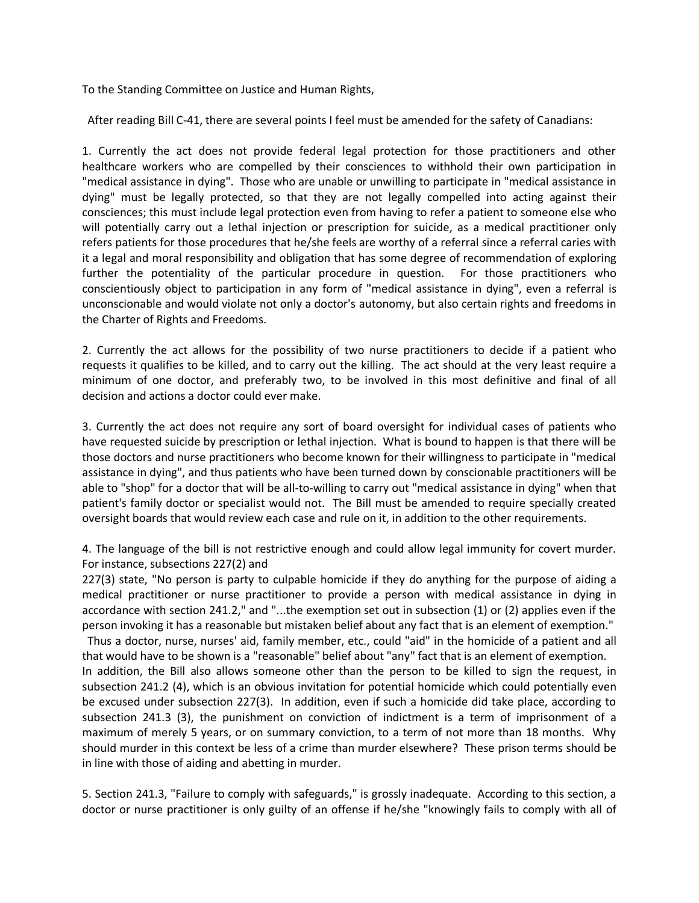To the Standing Committee on Justice and Human Rights,

After reading Bill C-41, there are several points I feel must be amended for the safety of Canadians:

1. Currently the act does not provide federal legal protection for those practitioners and other healthcare workers who are compelled by their consciences to withhold their own participation in "medical assistance in dying". Those who are unable or unwilling to participate in "medical assistance in dying" must be legally protected, so that they are not legally compelled into acting against their consciences; this must include legal protection even from having to refer a patient to someone else who will potentially carry out a lethal injection or prescription for suicide, as a medical practitioner only refers patients for those procedures that he/she feels are worthy of a referral since a referral caries with it a legal and moral responsibility and obligation that has some degree of recommendation of exploring further the potentiality of the particular procedure in question. For those practitioners who conscientiously object to participation in any form of "medical assistance in dying", even a referral is unconscionable and would violate not only a doctor's autonomy, but also certain rights and freedoms in the Charter of Rights and Freedoms.

2. Currently the act allows for the possibility of two nurse practitioners to decide if a patient who requests it qualifies to be killed, and to carry out the killing. The act should at the very least require a minimum of one doctor, and preferably two, to be involved in this most definitive and final of all decision and actions a doctor could ever make.

3. Currently the act does not require any sort of board oversight for individual cases of patients who have requested suicide by prescription or lethal injection. What is bound to happen is that there will be those doctors and nurse practitioners who become known for their willingness to participate in "medical assistance in dying", and thus patients who have been turned down by conscionable practitioners will be able to "shop" for a doctor that will be all-to-willing to carry out "medical assistance in dying" when that patient's family doctor or specialist would not. The Bill must be amended to require specially created oversight boards that would review each case and rule on it, in addition to the other requirements.

4. The language of the bill is not restrictive enough and could allow legal immunity for covert murder. For instance, subsections 227(2) and

227(3) state, "No person is party to culpable homicide if they do anything for the purpose of aiding a medical practitioner or nurse practitioner to provide a person with medical assistance in dying in accordance with section 241.2," and "...the exemption set out in subsection (1) or (2) applies even if the person invoking it has a reasonable but mistaken belief about any fact that is an element of exemption."

 Thus a doctor, nurse, nurses' aid, family member, etc., could "aid" in the homicide of a patient and all that would have to be shown is a "reasonable" belief about "any" fact that is an element of exemption. In addition, the Bill also allows someone other than the person to be killed to sign the request, in subsection 241.2 (4), which is an obvious invitation for potential homicide which could potentially even be excused under subsection 227(3). In addition, even if such a homicide did take place, according to subsection 241.3 (3), the punishment on conviction of indictment is a term of imprisonment of a maximum of merely 5 years, or on summary conviction, to a term of not more than 18 months. Why should murder in this context be less of a crime than murder elsewhere? These prison terms should be in line with those of aiding and abetting in murder.

5. Section 241.3, "Failure to comply with safeguards," is grossly inadequate. According to this section, a doctor or nurse practitioner is only guilty of an offense if he/she "knowingly fails to comply with all of